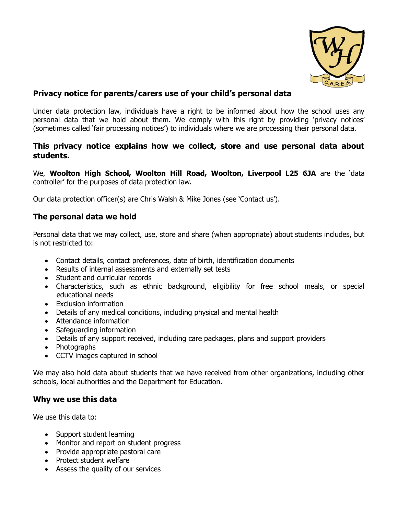

## **Privacy notice for parents/carers use of your child's personal data**

Under data protection law, individuals have a right to be informed about how the school uses any personal data that we hold about them. We comply with this right by providing 'privacy notices' (sometimes called 'fair processing notices') to individuals where we are processing their personal data.

#### **This privacy notice explains how we collect, store and use personal data about students.**

We, **Woolton High School, Woolton Hill Road, Woolton, Liverpool L25 6JA** are the 'data controller' for the purposes of data protection law.

Our data protection officer(s) are Chris Walsh & Mike Jones (see 'Contact us').

### **The personal data we hold**

Personal data that we may collect, use, store and share (when appropriate) about students includes, but is not restricted to:

- Contact details, contact preferences, date of birth, identification documents
- Results of internal assessments and externally set tests
- Student and curricular records
- Characteristics, such as ethnic background, eligibility for free school meals, or special educational needs
- Exclusion information
- Details of any medical conditions, including physical and mental health
- Attendance information
- Safeguarding information
- Details of any support received, including care packages, plans and support providers
- Photographs
- CCTV images captured in school

We may also hold data about students that we have received from other organizations, including other schools, local authorities and the Department for Education.

### **Why we use this data**

We use this data to:

- Support student learning
- Monitor and report on student progress
- Provide appropriate pastoral care
- Protect student welfare
- Assess the quality of our services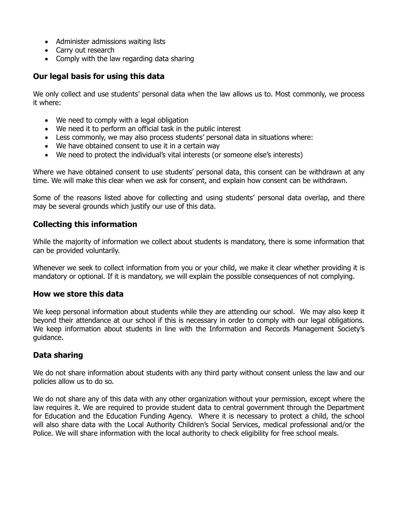- Administer admissions waiting lists
- Carry out research
- Comply with the law regarding data sharing

## **Our legal basis for using this data**

We only collect and use students' personal data when the law allows us to. Most commonly, we process it where:

- We need to comply with a legal obligation
- We need it to perform an official task in the public interest
- Less commonly, we may also process students' personal data in situations where:
- We have obtained consent to use it in a certain way
- We need to protect the individual's vital interests (or someone else's interests)

Where we have obtained consent to use students' personal data, this consent can be withdrawn at any time. We will make this clear when we ask for consent, and explain how consent can be withdrawn.

Some of the reasons listed above for collecting and using students' personal data overlap, and there may be several grounds which justify our use of this data.

## **Collecting this information**

While the majority of information we collect about students is mandatory, there is some information that can be provided voluntarily.

Whenever we seek to collect information from you or your child, we make it clear whether providing it is mandatory or optional. If it is mandatory, we will explain the possible consequences of not complying.

### **How we store this data**

We keep personal information about students while they are attending our school. We may also keep it beyond their attendance at our school if this is necessary in order to comply with our legal obligations. We keep information about students in line with the Information and Records Management Society's guidance.

# **Data sharing**

We do not share information about students with any third party without consent unless the law and our policies allow us to do so.

We do not share any of this data with any other organization without your permission, except where the law requires it. We are required to provide student data to central government through the Department for Education and the Education Funding Agency. Where it is necessary to protect a child, the school will also share data with the Local Authority Children's Social Services, medical professional and/or the Police. We will share information with the local authority to check eligibility for free school meals.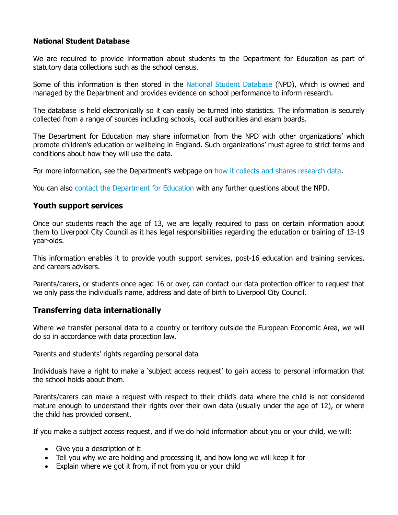#### **National Student Database**

We are required to provide information about students to the Department for Education as part of statutory data collections such as the school census.

Some of this information is then stored in the National Student Database (NPD), which is owned and managed by the Department and provides evidence on school performance to inform research.

The database is held electronically so it can easily be turned into statistics. The information is securely collected from a range of sources including schools, local authorities and exam boards.

The Department for Education may share information from the NPD with other organizations' which promote children's education or wellbeing in England. Such organizations' must agree to strict terms and conditions about how they will use the data.

For more information, see the Department's webpage on how it collects and shares research data.

You can also contact the Department for Education with any further questions about the NPD.

#### **Youth support services**

Once our students reach the age of 13, we are legally required to pass on certain information about them to Liverpool City Council as it has legal responsibilities regarding the education or training of 13-19 year-olds.

This information enables it to provide youth support services, post-16 education and training services, and careers advisers.

Parents/carers, or students once aged 16 or over, can contact our data protection officer to request that we only pass the individual's name, address and date of birth to Liverpool City Council.

#### **Transferring data internationally**

Where we transfer personal data to a country or territory outside the European Economic Area, we will do so in accordance with data protection law.

Parents and students' rights regarding personal data

Individuals have a right to make a 'subject access request' to gain access to personal information that the school holds about them.

Parents/carers can make a request with respect to their child's data where the child is not considered mature enough to understand their rights over their own data (usually under the age of 12), or where the child has provided consent.

If you make a subject access request, and if we do hold information about you or your child, we will:

- Give you a description of it
- Tell you why we are holding and processing it, and how long we will keep it for
- Explain where we got it from, if not from you or your child